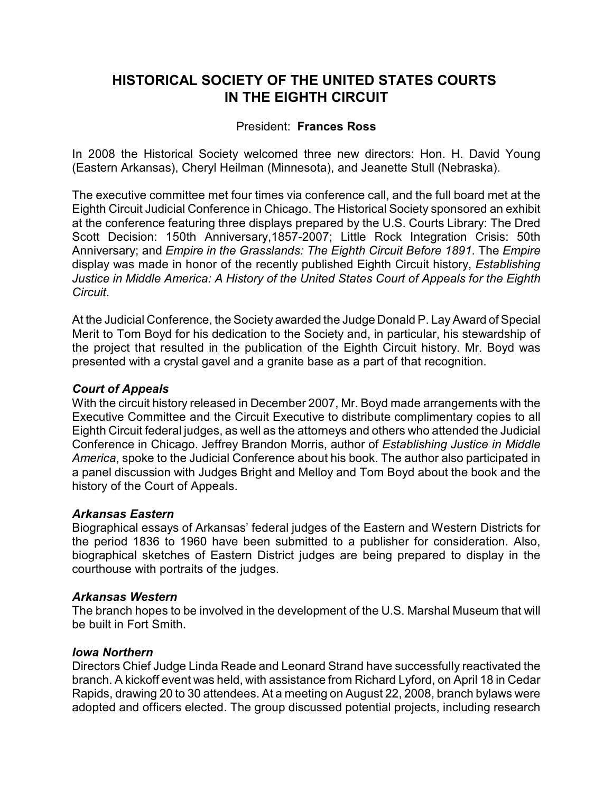# **HISTORICAL SOCIETY OF THE UNITED STATES COURTS IN THE EIGHTH CIRCUIT**

# President: **Frances Ross**

In 2008 the Historical Society welcomed three new directors: Hon. H. David Young (Eastern Arkansas), Cheryl Heilman (Minnesota), and Jeanette Stull (Nebraska).

The executive committee met four times via conference call, and the full board met at the Eighth Circuit Judicial Conference in Chicago. The Historical Society sponsored an exhibit at the conference featuring three displays prepared by the U.S. Courts Library: The Dred Scott Decision: 150th Anniversary,1857-2007; Little Rock Integration Crisis: 50th Anniversary; and *Empire in the Grasslands: The Eighth Circuit Before 1891*. The *Empire* display was made in honor of the recently published Eighth Circuit history, *Establishing Justice in Middle America: A History of the United States Court of Appeals for the Eighth Circuit*.

At the Judicial Conference, the Society awarded the Judge Donald P. Lay Award of Special Merit to Tom Boyd for his dedication to the Society and, in particular, his stewardship of the project that resulted in the publication of the Eighth Circuit history. Mr. Boyd was presented with a crystal gavel and a granite base as a part of that recognition.

### *Court of Appeals*

With the circuit history released in December 2007, Mr. Boyd made arrangements with the Executive Committee and the Circuit Executive to distribute complimentary copies to all Eighth Circuit federal judges, as well as the attorneys and others who attended the Judicial Conference in Chicago. Jeffrey Brandon Morris, author of *Establishing Justice in Middle America*, spoke to the Judicial Conference about his book. The author also participated in a panel discussion with Judges Bright and Melloy and Tom Boyd about the book and the history of the Court of Appeals.

#### *Arkansas Eastern*

Biographical essays of Arkansas' federal judges of the Eastern and Western Districts for the period 1836 to 1960 have been submitted to a publisher for consideration. Also, biographical sketches of Eastern District judges are being prepared to display in the courthouse with portraits of the judges.

#### *Arkansas Western*

The branch hopes to be involved in the development of the U.S. Marshal Museum that will be built in Fort Smith.

#### *Iowa Northern*

Directors Chief Judge Linda Reade and Leonard Strand have successfully reactivated the branch. A kickoff event was held, with assistance from Richard Lyford, on April 18 in Cedar Rapids, drawing 20 to 30 attendees. At a meeting on August 22, 2008, branch bylaws were adopted and officers elected. The group discussed potential projects, including research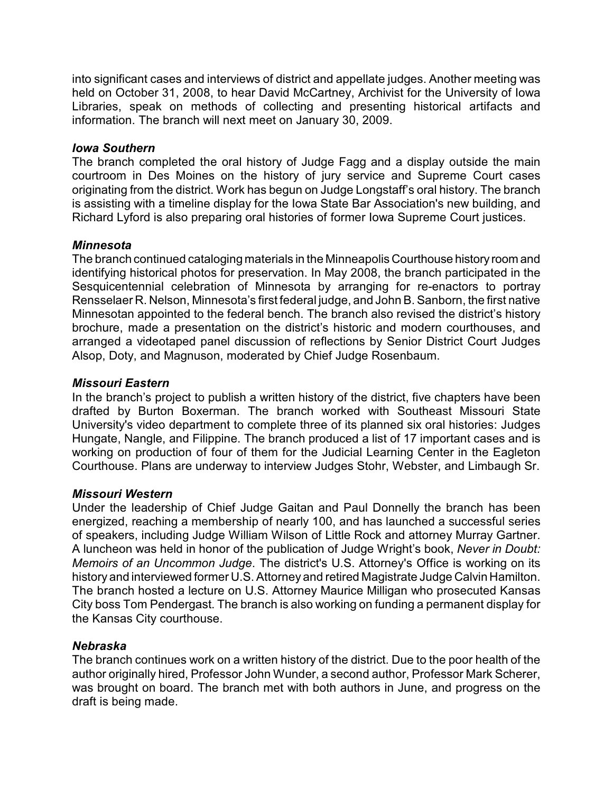into significant cases and interviews of district and appellate judges. Another meeting was held on October 31, 2008, to hear David McCartney, Archivist for the University of Iowa Libraries, speak on methods of collecting and presenting historical artifacts and information. The branch will next meet on January 30, 2009.

### *Iowa Southern*

The branch completed the oral history of Judge Fagg and a display outside the main courtroom in Des Moines on the history of jury service and Supreme Court cases originating from the district. Work has begun on Judge Longstaff's oral history. The branch is assisting with a timeline display for the Iowa State Bar Association's new building, and Richard Lyford is also preparing oral histories of former Iowa Supreme Court justices.

# *Minnesota*

The branch continued cataloging materials in the Minneapolis Courthouse history room and identifying historical photos for preservation. In May 2008, the branch participated in the Sesquicentennial celebration of Minnesota by arranging for re-enactors to portray Rensselaer R. Nelson, Minnesota's first federal judge, and John B. Sanborn, the first native Minnesotan appointed to the federal bench. The branch also revised the district's history brochure, made a presentation on the district's historic and modern courthouses, and arranged a videotaped panel discussion of reflections by Senior District Court Judges Alsop, Doty, and Magnuson, moderated by Chief Judge Rosenbaum.

### *Missouri Eastern*

In the branch's project to publish a written history of the district, five chapters have been drafted by Burton Boxerman. The branch worked with Southeast Missouri State University's video department to complete three of its planned six oral histories: Judges Hungate, Nangle, and Filippine. The branch produced a list of 17 important cases and is working on production of four of them for the Judicial Learning Center in the Eagleton Courthouse. Plans are underway to interview Judges Stohr, Webster, and Limbaugh Sr.

# *Missouri Western*

Under the leadership of Chief Judge Gaitan and Paul Donnelly the branch has been energized, reaching a membership of nearly 100, and has launched a successful series of speakers, including Judge William Wilson of Little Rock and attorney Murray Gartner. A luncheon was held in honor of the publication of Judge Wright's book, *Never in Doubt: Memoirs of an Uncommon Judge*. The district's U.S. Attorney's Office is working on its history and interviewed former U.S. Attorney and retired Magistrate Judge Calvin Hamilton. The branch hosted a lecture on U.S. Attorney Maurice Milligan who prosecuted Kansas City boss Tom Pendergast. The branch is also working on funding a permanent display for the Kansas City courthouse.

# *Nebraska*

The branch continues work on a written history of the district. Due to the poor health of the author originally hired, Professor John Wunder, a second author, Professor Mark Scherer, was brought on board. The branch met with both authors in June, and progress on the draft is being made.